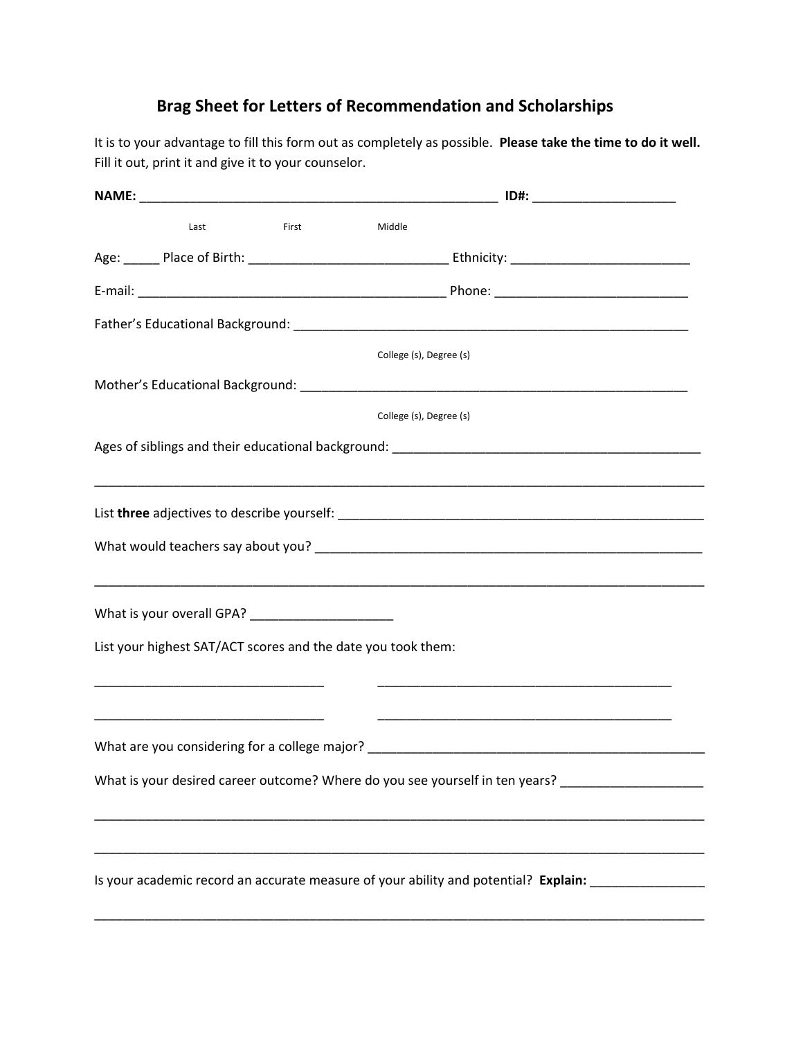## **Brag Sheet for Letters of Recommendation and Scholarships**

It is to your advantage to fill this form out as completely as possible. **Please take the time to do it well.** Fill it out, print it and give it to your counselor.

|                                                              |       |                         | ID#: ________________________                                                       |  |
|--------------------------------------------------------------|-------|-------------------------|-------------------------------------------------------------------------------------|--|
| Last                                                         | First | Middle                  |                                                                                     |  |
|                                                              |       |                         |                                                                                     |  |
|                                                              |       |                         |                                                                                     |  |
|                                                              |       |                         |                                                                                     |  |
|                                                              |       | College (s), Degree (s) |                                                                                     |  |
|                                                              |       |                         |                                                                                     |  |
|                                                              |       | College (s), Degree (s) |                                                                                     |  |
|                                                              |       |                         |                                                                                     |  |
|                                                              |       |                         |                                                                                     |  |
|                                                              |       |                         |                                                                                     |  |
|                                                              |       |                         |                                                                                     |  |
|                                                              |       |                         |                                                                                     |  |
| List your highest SAT/ACT scores and the date you took them: |       |                         |                                                                                     |  |
|                                                              |       |                         |                                                                                     |  |
|                                                              |       |                         |                                                                                     |  |
|                                                              |       |                         | What are you considering for a college major? __________________________________    |  |
|                                                              |       |                         | What is your desired career outcome? Where do you see yourself in ten years? _      |  |
|                                                              |       |                         |                                                                                     |  |
|                                                              |       |                         |                                                                                     |  |
|                                                              |       |                         | Is your academic record an accurate measure of your ability and potential? Explain: |  |
|                                                              |       |                         |                                                                                     |  |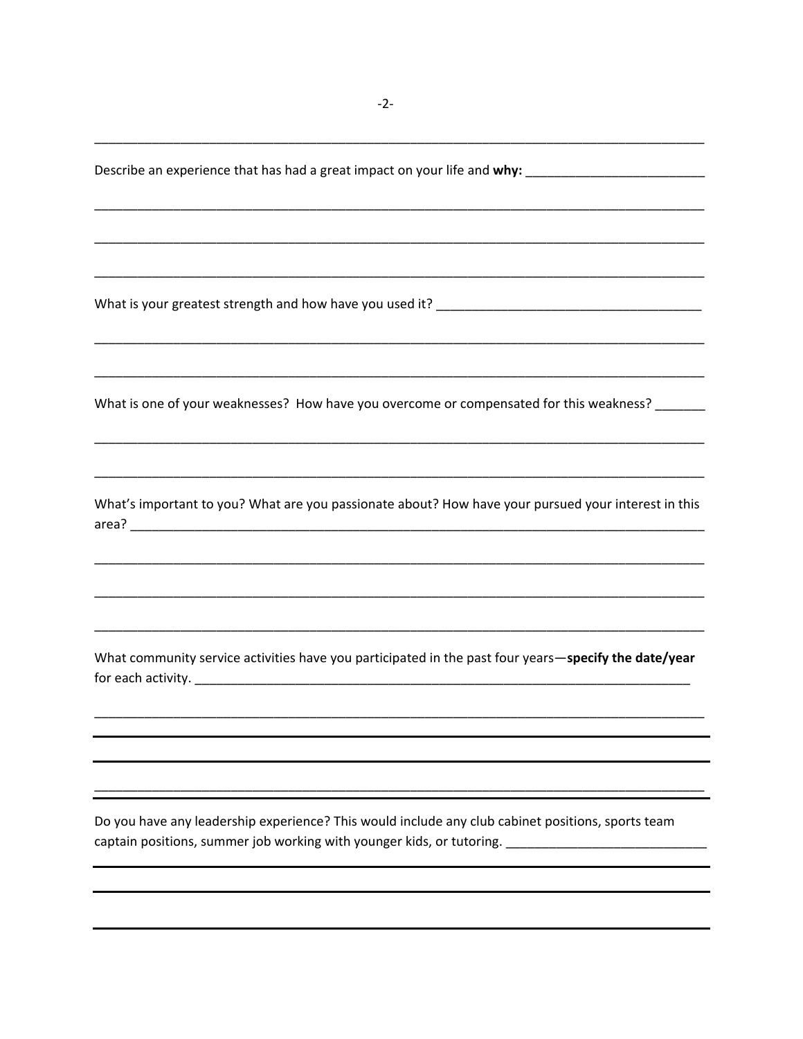What is one of your weaknesses? How have you overcome or compensated for this weakness? What's important to you? What are you passionate about? How have your pursued your interest in this What community service activities have you participated in the past four years-specify the date/year for each activity.

Do you have any leadership experience? This would include any club cabinet positions, sports team captain positions, summer job working with younger kids, or tutoring. \_\_\_\_\_\_\_\_\_\_\_\_\_\_\_\_\_\_\_\_\_\_\_\_\_\_\_\_\_

Describe an experience that has had a great impact on your life and why: \_\_\_\_\_\_\_\_\_\_\_\_\_\_\_\_\_\_\_\_\_\_\_\_\_\_